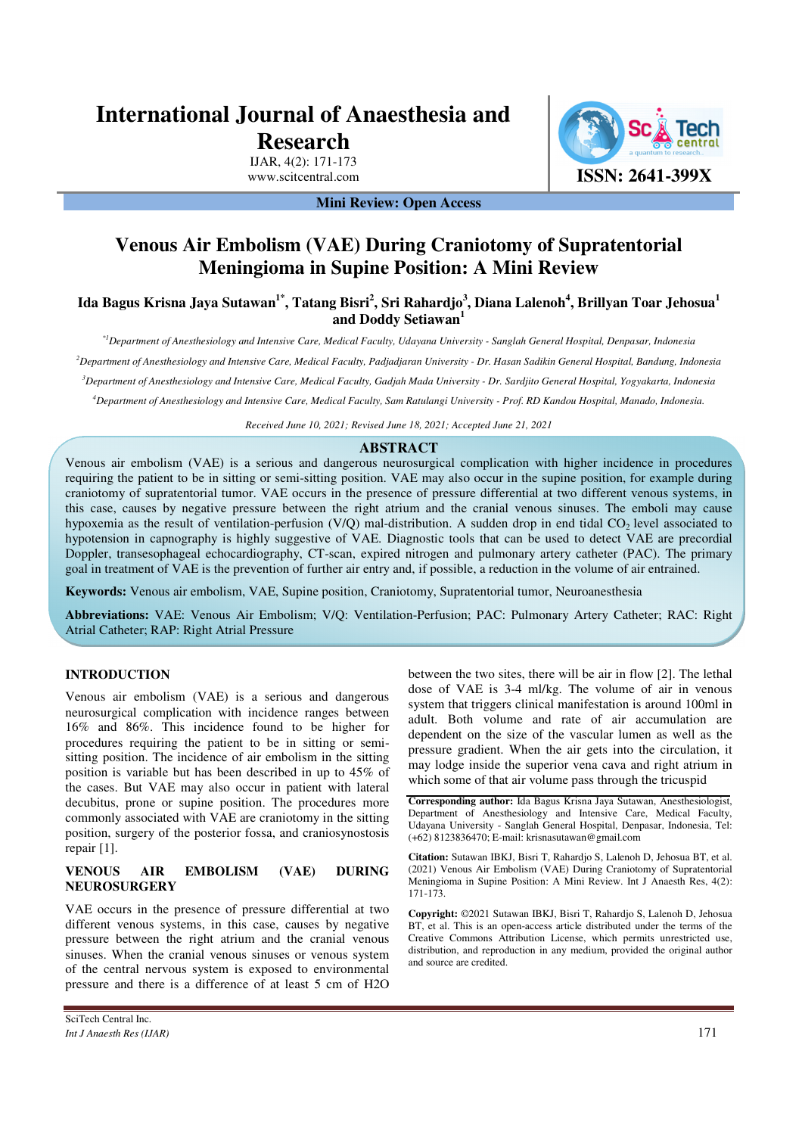# **International Journal of Anaesthesia and Research**

IJAR, 4(2): 171-173



**Mini Review: Open Access** 

# **Venous Air Embolism (VAE) During Craniotomy of Supratentorial Meningioma in Supine Position: A Mini Review**

**Ida Bagus Krisna Jaya Sutawan1\*, Tatang Bisri<sup>2</sup> , Sri Rahardjo<sup>3</sup> , Diana Lalenoh<sup>4</sup> , Brillyan Toar Jehosua<sup>1</sup> and Doddy Setiawan<sup>1</sup>**

*\*1Department of Anesthesiology and Intensive Care, Medical Faculty, Udayana University - Sanglah General Hospital, Denpasar, Indonesia* 

*<sup>2</sup>Department of Anesthesiology and Intensive Care, Medical Faculty, Padjadjaran University - Dr. Hasan Sadikin General Hospital, Bandung, Indonesia* 

*<sup>3</sup>Department of Anesthesiology and Intensive Care, Medical Faculty, Gadjah Mada University - Dr. Sardjito General Hospital, Yogyakarta, Indonesia* 

*<sup>4</sup>Department of Anesthesiology and Intensive Care, Medical Faculty, Sam Ratulangi University - Prof. RD Kandou Hospital, Manado, Indonesia.* 

*Received June 10, 2021; Revised June 18, 2021; Accepted June 21, 2021* 

# **ABSTRACT**

Venous air embolism (VAE) is a serious and dangerous neurosurgical complication with higher incidence in procedures requiring the patient to be in sitting or semi-sitting position. VAE may also occur in the supine position, for example during craniotomy of supratentorial tumor. VAE occurs in the presence of pressure differential at two different venous systems, in this case, causes by negative pressure between the right atrium and the cranial venous sinuses. The emboli may cause hypoxemia as the result of ventilation-perfusion (V/Q) mal-distribution. A sudden drop in end tidal  $CO<sub>2</sub>$  level associated to hypotension in capnography is highly suggestive of VAE. Diagnostic tools that can be used to detect VAE are precordial Doppler, transesophageal echocardiography, CT-scan, expired nitrogen and pulmonary artery catheter (PAC). The primary goal in treatment of VAE is the prevention of further air entry and, if possible, a reduction in the volume of air entrained.

**Keywords:** Venous air embolism, VAE, Supine position, Craniotomy, Supratentorial tumor, Neuroanesthesia

**Abbreviations:** VAE: Venous Air Embolism; V/Q: Ventilation-Perfusion; PAC: Pulmonary Artery Catheter; RAC: Right Atrial Catheter; RAP: Right Atrial Pressure

#### **INTRODUCTION**

Venous air embolism (VAE) is a serious and dangerous neurosurgical complication with incidence ranges between 16% and 86%. This incidence found to be higher for procedures requiring the patient to be in sitting or semisitting position. The incidence of air embolism in the sitting position is variable but has been described in up to 45% of the cases. But VAE may also occur in patient with lateral decubitus, prone or supine position. The procedures more commonly associated with VAE are craniotomy in the sitting position, surgery of the posterior fossa, and craniosynostosis repair [1].

## **VENOUS AIR EMBOLISM (VAE) DURING NEUROSURGERY**

VAE occurs in the presence of pressure differential at two different venous systems, in this case, causes by negative pressure between the right atrium and the cranial venous sinuses. When the cranial venous sinuses or venous system of the central nervous system is exposed to environmental pressure and there is a difference of at least 5 cm of H2O

between the two sites, there will be air in flow [2]. The lethal dose of VAE is 3-4 ml/kg. The volume of air in venous system that triggers clinical manifestation is around 100ml in adult. Both volume and rate of air accumulation are dependent on the size of the vascular lumen as well as the pressure gradient. When the air gets into the circulation, it may lodge inside the superior vena cava and right atrium in which some of that air volume pass through the tricuspid

**Corresponding author:** Ida Bagus Krisna Jaya Sutawan, Anesthesiologist, Department of Anesthesiology and Intensive Care, Medical Faculty, Udayana University - Sanglah General Hospital, Denpasar, Indonesia, Tel: (+62) 8123836470; E-mail: krisnasutawan@gmail.com

**Citation:** Sutawan IBKJ, Bisri T, Rahardjo S, Lalenoh D, Jehosua BT, et al. (2021) Venous Air Embolism (VAE) During Craniotomy of Supratentorial Meningioma in Supine Position: A Mini Review. Int J Anaesth Res, 4(2): 171-173.

**Copyright:** ©2021 Sutawan IBKJ, Bisri T, Rahardjo S, Lalenoh D, Jehosua BT, et al. This is an open-access article distributed under the terms of the Creative Commons Attribution License, which permits unrestricted use, distribution, and reproduction in any medium, provided the original author and source are credited.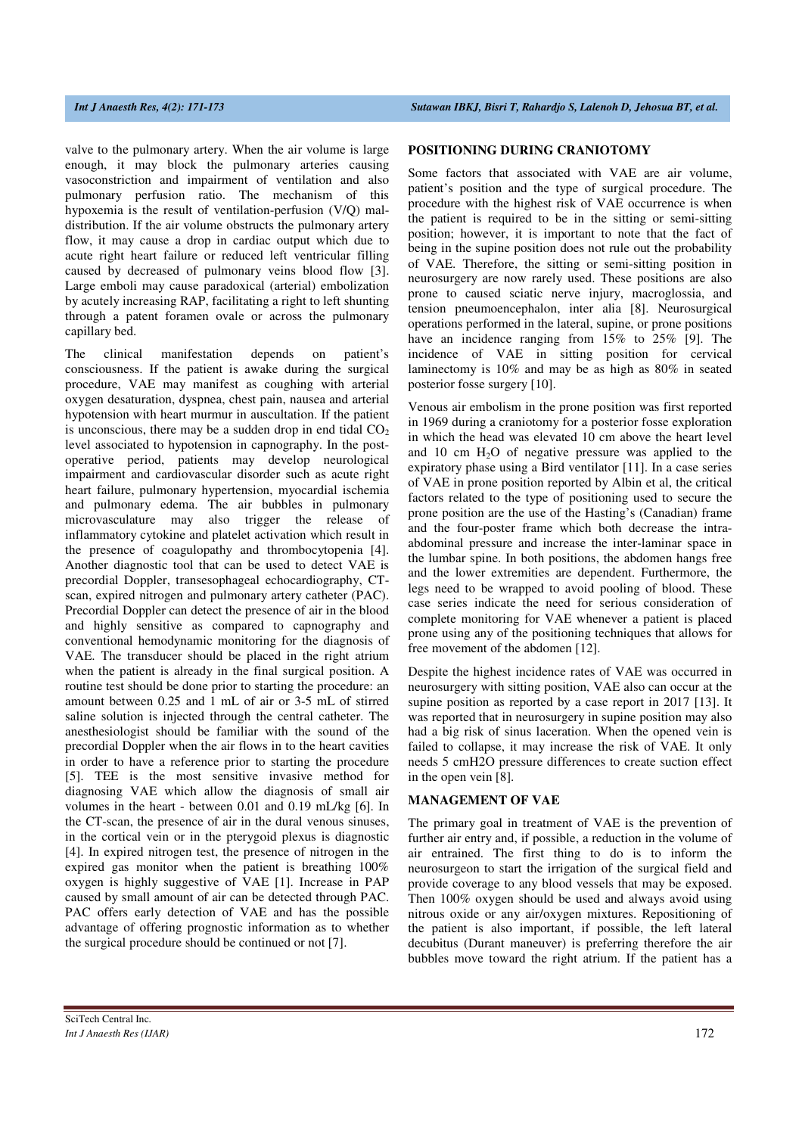valve to the pulmonary artery. When the air volume is large enough, it may block the pulmonary arteries causing vasoconstriction and impairment of ventilation and also pulmonary perfusion ratio. The mechanism of this hypoxemia is the result of ventilation-perfusion (V/Q) maldistribution. If the air volume obstructs the pulmonary artery flow, it may cause a drop in cardiac output which due to acute right heart failure or reduced left ventricular filling caused by decreased of pulmonary veins blood flow [3]. Large emboli may cause paradoxical (arterial) embolization by acutely increasing RAP, facilitating a right to left shunting through a patent foramen ovale or across the pulmonary capillary bed.

The clinical manifestation depends on patient's consciousness. If the patient is awake during the surgical procedure, VAE may manifest as coughing with arterial oxygen desaturation, dyspnea, chest pain, nausea and arterial hypotension with heart murmur in auscultation. If the patient is unconscious, there may be a sudden drop in end tidal  $CO<sub>2</sub>$ level associated to hypotension in capnography. In the postoperative period, patients may develop neurological impairment and cardiovascular disorder such as acute right heart failure, pulmonary hypertension, myocardial ischemia and pulmonary edema. The air bubbles in pulmonary microvasculature may also trigger the release of inflammatory cytokine and platelet activation which result in the presence of coagulopathy and thrombocytopenia [4]. Another diagnostic tool that can be used to detect VAE is precordial Doppler, transesophageal echocardiography, CTscan, expired nitrogen and pulmonary artery catheter (PAC). Precordial Doppler can detect the presence of air in the blood and highly sensitive as compared to capnography and conventional hemodynamic monitoring for the diagnosis of VAE. The transducer should be placed in the right atrium when the patient is already in the final surgical position. A routine test should be done prior to starting the procedure: an amount between 0.25 and 1 mL of air or 3-5 mL of stirred saline solution is injected through the central catheter. The anesthesiologist should be familiar with the sound of the precordial Doppler when the air flows in to the heart cavities in order to have a reference prior to starting the procedure [5]. TEE is the most sensitive invasive method for diagnosing VAE which allow the diagnosis of small air volumes in the heart - between 0.01 and 0.19 mL/kg [6]. In the CT-scan, the presence of air in the dural venous sinuses, in the cortical vein or in the pterygoid plexus is diagnostic [4]. In expired nitrogen test, the presence of nitrogen in the expired gas monitor when the patient is breathing 100% oxygen is highly suggestive of VAE [1]. Increase in PAP caused by small amount of air can be detected through PAC. PAC offers early detection of VAE and has the possible advantage of offering prognostic information as to whether the surgical procedure should be continued or not [7].

#### **POSITIONING DURING CRANIOTOMY**

Some factors that associated with VAE are air volume, patient's position and the type of surgical procedure. The procedure with the highest risk of VAE occurrence is when the patient is required to be in the sitting or semi-sitting position; however, it is important to note that the fact of being in the supine position does not rule out the probability of VAE. Therefore, the sitting or semi-sitting position in neurosurgery are now rarely used. These positions are also prone to caused sciatic nerve injury, macroglossia, and tension pneumoencephalon, inter alia [8]. Neurosurgical operations performed in the lateral, supine, or prone positions have an incidence ranging from 15% to 25% [9]. The incidence of VAE in sitting position for cervical laminectomy is 10% and may be as high as 80% in seated posterior fosse surgery [10].

Venous air embolism in the prone position was first reported in 1969 during a craniotomy for a posterior fosse exploration in which the head was elevated 10 cm above the heart level and 10 cm  $H_2O$  of negative pressure was applied to the expiratory phase using a Bird ventilator [11]. In a case series of VAE in prone position reported by Albin et al, the critical factors related to the type of positioning used to secure the prone position are the use of the Hasting's (Canadian) frame and the four-poster frame which both decrease the intraabdominal pressure and increase the inter-laminar space in the lumbar spine. In both positions, the abdomen hangs free and the lower extremities are dependent. Furthermore, the legs need to be wrapped to avoid pooling of blood. These case series indicate the need for serious consideration of complete monitoring for VAE whenever a patient is placed prone using any of the positioning techniques that allows for free movement of the abdomen [12].

Despite the highest incidence rates of VAE was occurred in neurosurgery with sitting position, VAE also can occur at the supine position as reported by a case report in 2017 [13]. It was reported that in neurosurgery in supine position may also had a big risk of sinus laceration. When the opened vein is failed to collapse, it may increase the risk of VAE. It only needs 5 cmH2O pressure differences to create suction effect in the open vein [8].

## **MANAGEMENT OF VAE**

The primary goal in treatment of VAE is the prevention of further air entry and, if possible, a reduction in the volume of air entrained. The first thing to do is to inform the neurosurgeon to start the irrigation of the surgical field and provide coverage to any blood vessels that may be exposed. Then 100% oxygen should be used and always avoid using nitrous oxide or any air/oxygen mixtures. Repositioning of the patient is also important, if possible, the left lateral decubitus (Durant maneuver) is preferring therefore the air bubbles move toward the right atrium. If the patient has a